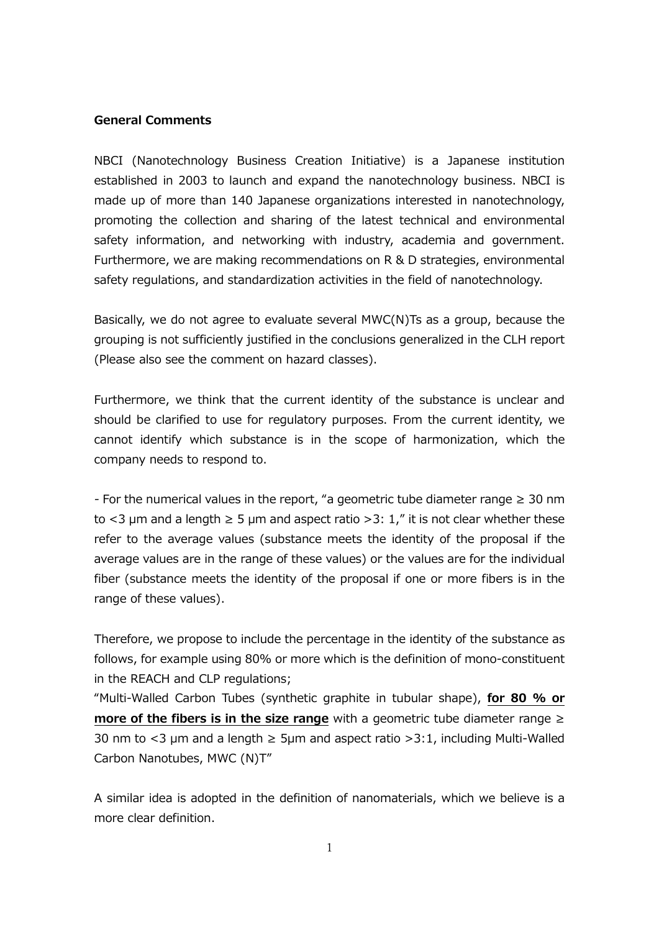## **General Comments**

NBCI (Nanotechnology Business Creation Initiative) is a Japanese institution established in 2003 to launch and expand the nanotechnology business. NBCI is made up of more than 140 Japanese organizations interested in nanotechnology, promoting the collection and sharing of the latest technical and environmental safety information, and networking with industry, academia and government. Furthermore, we are making recommendations on R & D strategies, environmental safety regulations, and standardization activities in the field of nanotechnology.

Basically, we do not agree to evaluate several MWC(N)Ts as a group, because the grouping is not sufficiently justified in the conclusions generalized in the CLH report (Please also see the comment on hazard classes).

Furthermore, we think that the current identity of the substance is unclear and should be clarified to use for regulatory purposes. From the current identity, we cannot identify which substance is in the scope of harmonization, which the company needs to respond to.

*-* For the numerical values in the report, "a geometric tube diameter range ≥ 30 nm to <3  $\mu$ m and a length  $\geq$  5  $\mu$ m and aspect ratio >3: 1," it is not clear whether these refer to the average values (substance meets the identity of the proposal if the average values are in the range of these values) or the values are for the individual fiber (substance meets the identity of the proposal if one or more fibers is in the range of these values).

Therefore, we propose to include the percentage in the identity of the substance as follows, for example using 80% or more which is the definition of mono-constituent in the REACH and CLP regulations;

"Multi-Walled Carbon Tubes (synthetic graphite in tubular shape), **for 80 % or more of the fibers is in the size range** with a geometric tube diameter range ≥ 30 nm to <3  $\mu$ m and a length  $\geq$  5 $\mu$ m and aspect ratio >3:1, including Multi-Walled Carbon Nanotubes, MWC (N)T"

A similar idea is adopted in the definition of nanomaterials, which we believe is a more clear definition.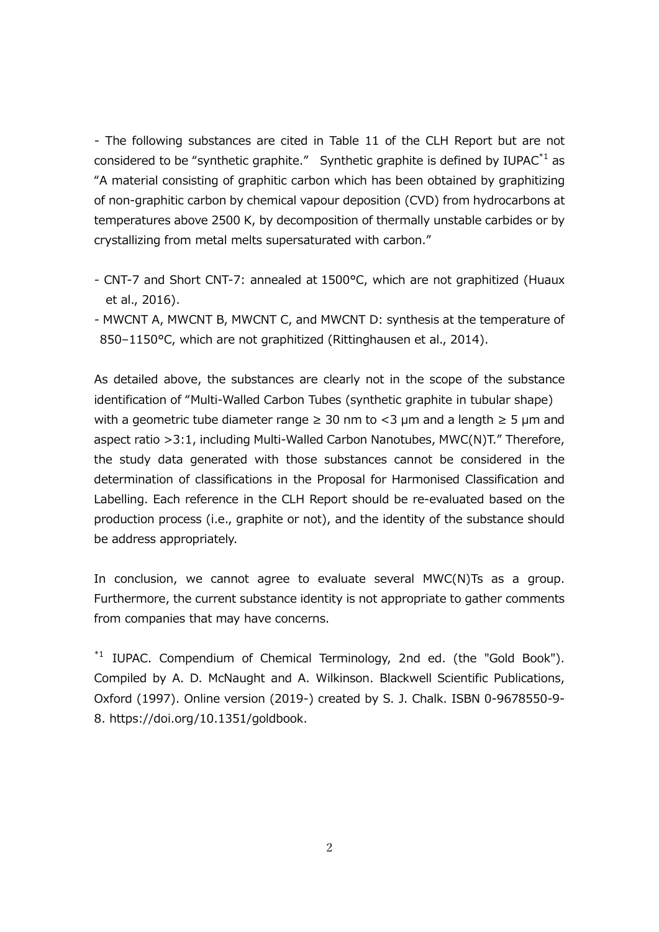*-* The following substances are cited in Table 11 of the CLH Report but are not considered to be "synthetic graphite." Synthetic graphite is defined by  $IUPAC^*$ <sup>1</sup> as "A material consisting of graphitic carbon which has been obtained by graphitizing of non-graphitic carbon by chemical vapour deposition (CVD) from hydrocarbons at temperatures above 2500 K, by decomposition of thermally unstable carbides or by crystallizing from metal melts supersaturated with carbon."

- *-* CNT-7 and Short CNT-7: annealed at 1500°C, which are not graphitized (Huaux et al., 2016).
- *-* MWCNT A, MWCNT B, MWCNT C, and MWCNT D: synthesis at the temperature of 850–1150°C, which are not graphitized (Rittinghausen et al., 2014).

As detailed above, the substances are clearly not in the scope of the substance identification of "Multi-Walled Carbon Tubes (synthetic graphite in tubular shape) with a geometric tube diameter range  $\geq$  30 nm to <3 µm and a length  $\geq$  5 µm and aspect ratio >3:1, including Multi-Walled Carbon Nanotubes, MWC(N)T." Therefore, the study data generated with those substances cannot be considered in the determination of classifications in the Proposal for Harmonised Classification and Labelling. Each reference in the CLH Report should be re-evaluated based on the production process (i.e., graphite or not), and the identity of the substance should be address appropriately.

In conclusion, we cannot agree to evaluate several MWC(N)Ts as a group. Furthermore, the current substance identity is not appropriate to gather comments from companies that may have concerns.

<sup>\*1</sup> IUPAC. Compendium of Chemical Terminology, 2nd ed. (the "Gold Book"). Compiled by A. D. McNaught and A. Wilkinson. Blackwell Scientific Publications, Oxford (1997). Online version (2019-) created by S. J. Chalk. ISBN 0-9678550-9- 8. https://doi.org/10.1351/goldbook.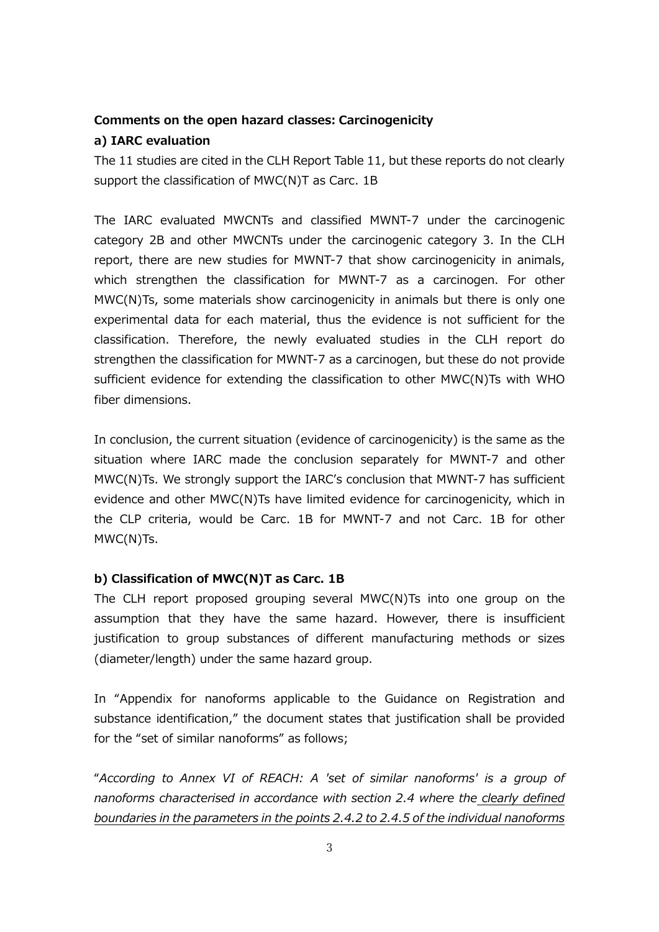## **Comments on the open hazard classes: Carcinogenicity**

## **a) IARC evaluation**

The 11 studies are cited in the CLH Report Table 11, but these reports do not clearly support the classification of MWC(N)T as Carc. 1B

The IARC evaluated MWCNTs and classified MWNT-7 under the carcinogenic category 2B and other MWCNTs under the carcinogenic category 3. In the CLH report, there are new studies for MWNT-7 that show carcinogenicity in animals, which strengthen the classification for MWNT-7 as a carcinogen. For other MWC(N)Ts, some materials show carcinogenicity in animals but there is only one experimental data for each material, thus the evidence is not sufficient for the classification. Therefore, the newly evaluated studies in the CLH report do strengthen the classification for MWNT-7 as a carcinogen, but these do not provide sufficient evidence for extending the classification to other MWC(N)Ts with WHO fiber dimensions.

In conclusion, the current situation (evidence of carcinogenicity) is the same as the situation where IARC made the conclusion separately for MWNT-7 and other MWC(N)Ts. We strongly support the IARC's conclusion that MWNT-7 has sufficient evidence and other MWC(N)Ts have limited evidence for carcinogenicity, which in the CLP criteria, would be Carc. 1B for MWNT-7 and not Carc. 1B for other MWC(N)Ts.

## **b) Classification of MWC(N)T as Carc. 1B**

The CLH report proposed grouping several MWC(N)Ts into one group on the assumption that they have the same hazard. However, there is insufficient justification to group substances of different manufacturing methods or sizes (diameter/length) under the same hazard group.

In "Appendix for nanoforms applicable to the Guidance on Registration and substance identification," the document states that justification shall be provided for the "set of similar nanoforms" as follows;

"*According to Annex VI of REACH: A 'set of similar nanoforms' is a group of nanoforms characterised in accordance with section 2.4 where the clearly defined boundaries in the parameters in the points 2.4.2 to 2.4.5 of the individual nanoforms*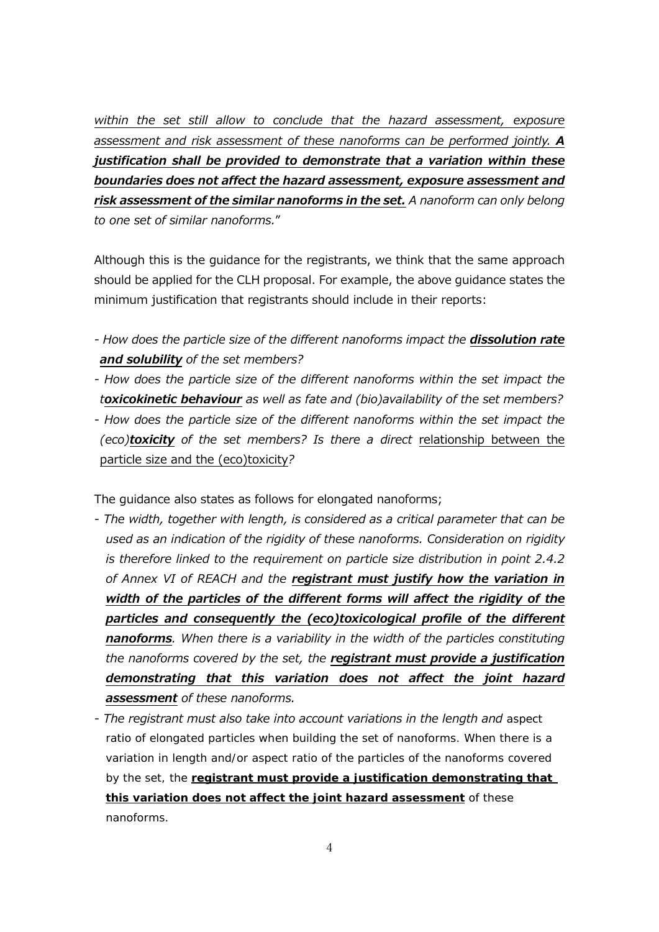*within the set still allow to conclude that the hazard assessment, exposure assessment and risk assessment of these nanoforms can be performed jointly. A justification shall be provided to demonstrate that a variation within these boundaries does not affect the hazard assessment, exposure assessment and risk assessment of the similar nanoforms in the set. A nanoform can only belong to one set of similar nanoforms.*"

Although this is the guidance for the registrants, we think that the same approach should be applied for the CLH proposal. For example, the above guidance states the minimum justification that registrants should include in their reports:

- *- How does the particle size of the different nanoforms impact the dissolution rate and solubility of the set members?*
- How does the particle size of the different nanoforms within the set impact the *toxicokinetic behaviour as well as fate and (bio)availability of the set members?*
- *- How does the particle size of the different nanoforms within the set impact the (eco)toxicity of the set members? Is there a direct* relationship between the particle size and the (eco)toxicity*?*

The guidance also states as follows for elongated nanoforms;

- *- The width, together with length, is considered as a critical parameter that can be used as an indication of the rigidity of these nanoforms. Consideration on rigidity is therefore linked to the requirement on particle size distribution in point 2.4.2 of Annex VI of REACH and the registrant must justify how the variation in width of the particles of the different forms will affect the rigidity of the particles and consequently the (eco)toxicological profile of the different nanoforms. When there is a variability in the width of the particles constituting the nanoforms covered by the set, the registrant must provide a justification demonstrating that this variation does not affect the joint hazard assessment of these nanoforms.*
- *- The registrant must also take into account variations in the length and aspect ratio of elongated particles when building the set of nanoforms. When there is a variation in length and/or aspect ratio of the particles of the nanoforms covered by the set, the registrant must provide a justification demonstrating that this variation does not affect the joint hazard assessment of these nanoforms.*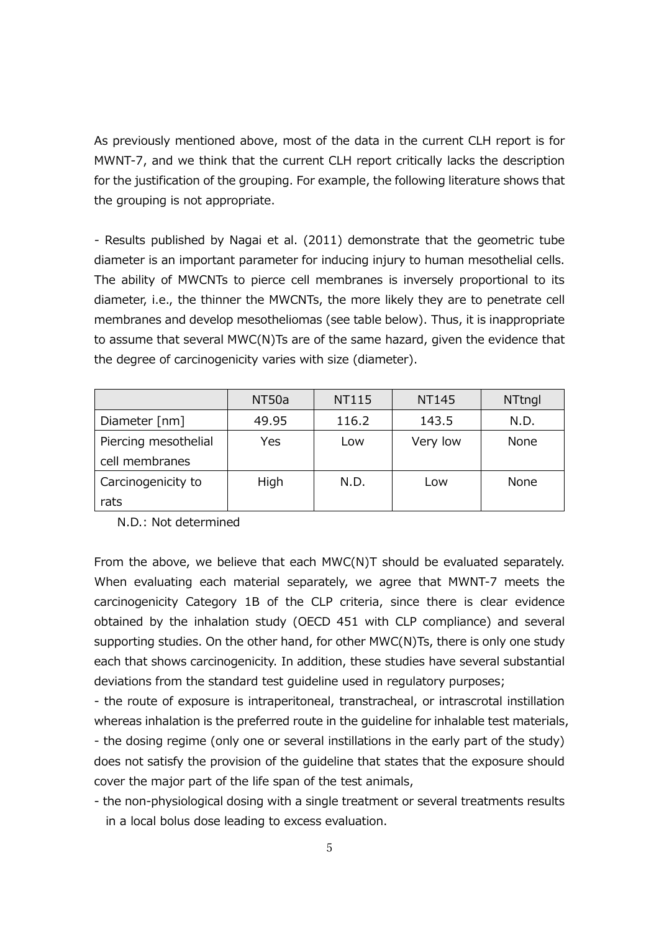As previously mentioned above, most of the data in the current CLH report is for MWNT-7, and we think that the current CLH report critically lacks the description for the justification of the grouping. For example, the following literature shows that the grouping is not appropriate.

*-* Results published by Nagai et al. (2011) demonstrate that the geometric tube diameter is an important parameter for inducing injury to human mesothelial cells. The ability of MWCNTs to pierce cell membranes is inversely proportional to its diameter, i.e., the thinner the MWCNTs, the more likely they are to penetrate cell membranes and develop mesotheliomas (see table below). Thus, it is inappropriate to assume that several MWC(N)Ts are of the same hazard, given the evidence that the degree of carcinogenicity varies with size (diameter).

|                      | NT50a | <b>NT115</b> | NT145    | <b>NTtngl</b> |
|----------------------|-------|--------------|----------|---------------|
| Diameter [nm]        | 49.95 | 116.2        | 143.5    | N.D.          |
| Piercing mesothelial | Yes   | Low          | Very low | <b>None</b>   |
| cell membranes       |       |              |          |               |
| Carcinogenicity to   | High  | N.D.         | Low      | None          |
| rats                 |       |              |          |               |

N.D.: Not determined

From the above, we believe that each MWC(N)T should be evaluated separately. When evaluating each material separately, we agree that MWNT-7 meets the carcinogenicity Category 1B of the CLP criteria, since there is clear evidence obtained by the inhalation study (OECD 451 with CLP compliance) and several supporting studies. On the other hand, for other MWC(N)Ts, there is only one study each that shows carcinogenicity. In addition, these studies have several substantial deviations from the standard test guideline used in regulatory purposes;

- the route of exposure is intraperitoneal, transtracheal, or intrascrotal instillation whereas inhalation is the preferred route in the guideline for inhalable test materials, - the dosing regime (only one or several instillations in the early part of the study) does not satisfy the provision of the guideline that states that the exposure should cover the major part of the life span of the test animals,

- the non-physiological dosing with a single treatment or several treatments results in a local bolus dose leading to excess evaluation.